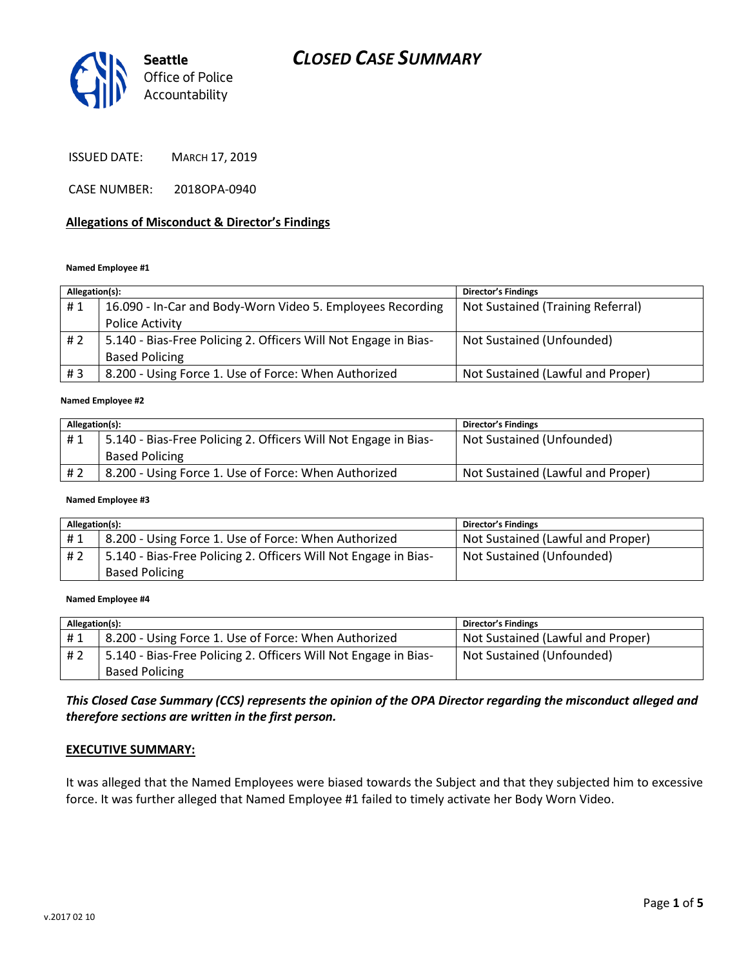# *CLOSED CASE SUMMARY*



ISSUED DATE: MARCH 17, 2019

CASE NUMBER: 2018OPA-0940

## **Allegations of Misconduct & Director's Findings**

### **Named Employee #1**

| Allegation(s): |                                                                 | <b>Director's Findings</b>        |
|----------------|-----------------------------------------------------------------|-----------------------------------|
| #1             | 16.090 - In-Car and Body-Worn Video 5. Employees Recording      | Not Sustained (Training Referral) |
|                | Police Activity                                                 |                                   |
| #2             | 5.140 - Bias-Free Policing 2. Officers Will Not Engage in Bias- | Not Sustained (Unfounded)         |
|                | <b>Based Policing</b>                                           |                                   |
| #3             | 8.200 - Using Force 1. Use of Force: When Authorized            | Not Sustained (Lawful and Proper) |

### ؚ<br>ا **Named Employee #2**

| Allegation(s): |                                                                 | Director's Findings               |
|----------------|-----------------------------------------------------------------|-----------------------------------|
| #1             | 5.140 - Bias-Free Policing 2. Officers Will Not Engage in Bias- | Not Sustained (Unfounded)         |
|                | <b>Based Policing</b>                                           |                                   |
| # 2            | 8.200 - Using Force 1. Use of Force: When Authorized            | Not Sustained (Lawful and Proper) |

#### **Named Employee #3**

| Allegation(s): |                                                                 | <b>Director's Findings</b>        |
|----------------|-----------------------------------------------------------------|-----------------------------------|
| #1             | 8.200 - Using Force 1. Use of Force: When Authorized            | Not Sustained (Lawful and Proper) |
| # 2            | 5.140 - Bias-Free Policing 2. Officers Will Not Engage in Bias- | Not Sustained (Unfounded)         |
|                | <b>Based Policing</b>                                           |                                   |

### **Named Employee #4**

| Allegation(s): |                                                                 | Director's Findings               |
|----------------|-----------------------------------------------------------------|-----------------------------------|
| #1             | 8.200 - Using Force 1. Use of Force: When Authorized            | Not Sustained (Lawful and Proper) |
| # 2            | 5.140 - Bias-Free Policing 2. Officers Will Not Engage in Bias- | Not Sustained (Unfounded)         |
|                | <b>Based Policing</b>                                           |                                   |

*This Closed Case Summary (CCS) represents the opinion of the OPA Director regarding the misconduct alleged and therefore sections are written in the first person.* 

### **EXECUTIVE SUMMARY:**

It was alleged that the Named Employees were biased towards the Subject and that they subjected him to excessive force. It was further alleged that Named Employee #1 failed to timely activate her Body Worn Video.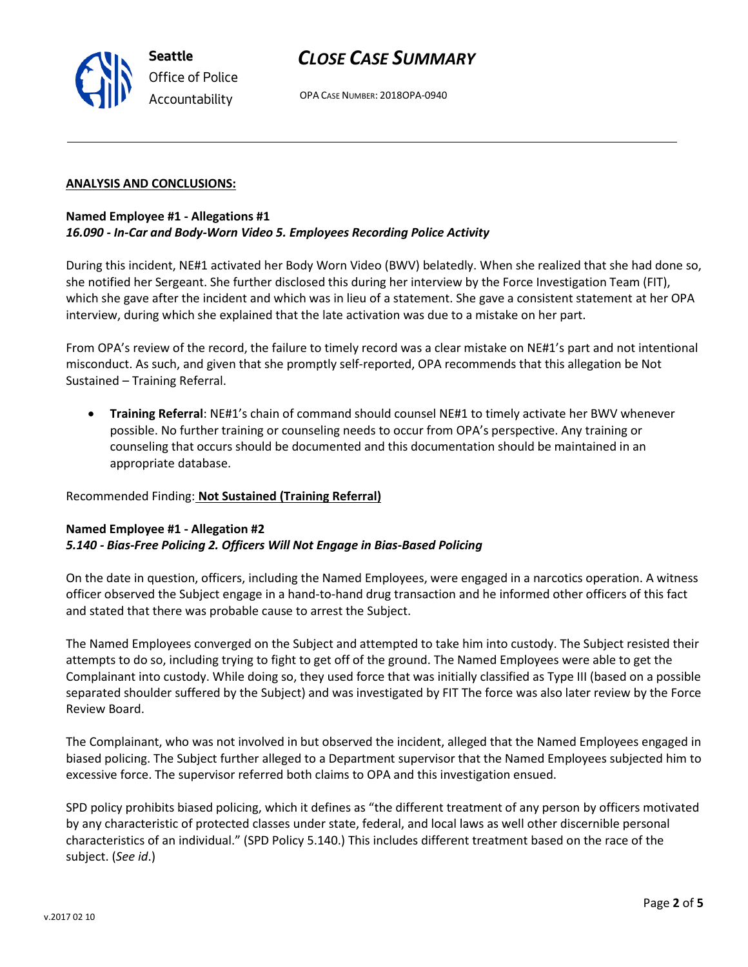

OPA CASE NUMBER: 2018OPA-0940

## **ANALYSIS AND CONCLUSIONS:**

# **Named Employee #1 - Allegations #1** *16.090 - In-Car and Body-Worn Video 5. Employees Recording Police Activity*

During this incident, NE#1 activated her Body Worn Video (BWV) belatedly. When she realized that she had done so, she notified her Sergeant. She further disclosed this during her interview by the Force Investigation Team (FIT), which she gave after the incident and which was in lieu of a statement. She gave a consistent statement at her OPA interview, during which she explained that the late activation was due to a mistake on her part.

From OPA's review of the record, the failure to timely record was a clear mistake on NE#1's part and not intentional misconduct. As such, and given that she promptly self-reported, OPA recommends that this allegation be Not Sustained – Training Referral.

• **Training Referral**: NE#1's chain of command should counsel NE#1 to timely activate her BWV whenever possible. No further training or counseling needs to occur from OPA's perspective. Any training or counseling that occurs should be documented and this documentation should be maintained in an appropriate database.

Recommended Finding: **Not Sustained (Training Referral)**

# **Named Employee #1 - Allegation #2** *5.140 - Bias-Free Policing 2. Officers Will Not Engage in Bias-Based Policing*

On the date in question, officers, including the Named Employees, were engaged in a narcotics operation. A witness officer observed the Subject engage in a hand-to-hand drug transaction and he informed other officers of this fact and stated that there was probable cause to arrest the Subject.

The Named Employees converged on the Subject and attempted to take him into custody. The Subject resisted their attempts to do so, including trying to fight to get off of the ground. The Named Employees were able to get the Complainant into custody. While doing so, they used force that was initially classified as Type III (based on a possible separated shoulder suffered by the Subject) and was investigated by FIT The force was also later review by the Force Review Board.

The Complainant, who was not involved in but observed the incident, alleged that the Named Employees engaged in biased policing. The Subject further alleged to a Department supervisor that the Named Employees subjected him to excessive force. The supervisor referred both claims to OPA and this investigation ensued.

SPD policy prohibits biased policing, which it defines as "the different treatment of any person by officers motivated by any characteristic of protected classes under state, federal, and local laws as well other discernible personal characteristics of an individual." (SPD Policy 5.140.) This includes different treatment based on the race of the subject. (*See id*.)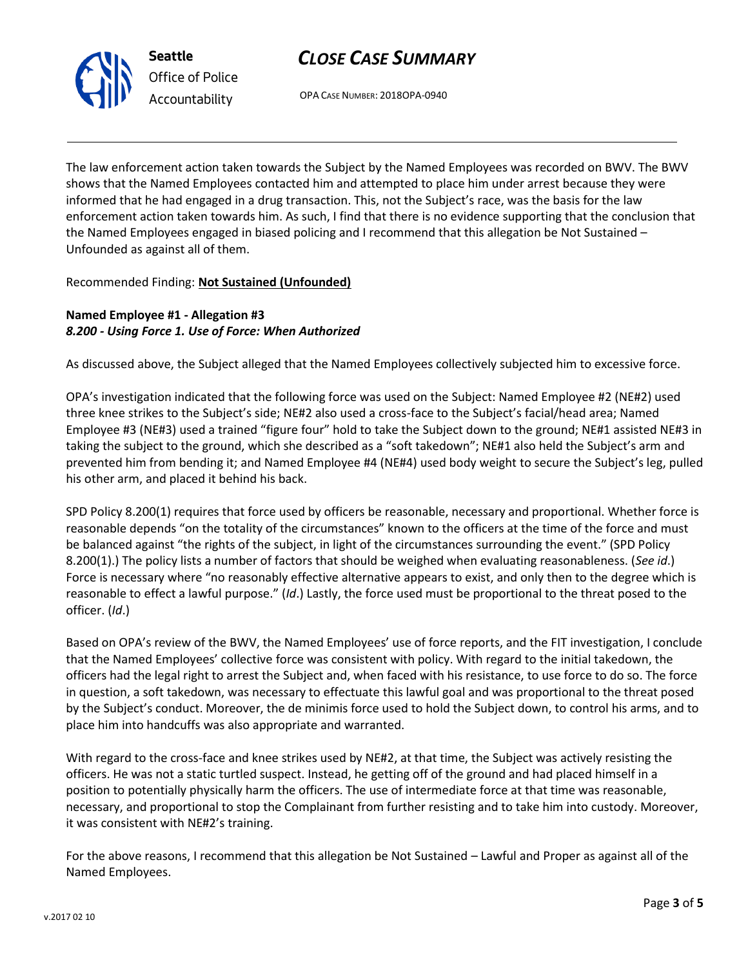



OPA CASE NUMBER: 2018OPA-0940

The law enforcement action taken towards the Subject by the Named Employees was recorded on BWV. The BWV shows that the Named Employees contacted him and attempted to place him under arrest because they were informed that he had engaged in a drug transaction. This, not the Subject's race, was the basis for the law enforcement action taken towards him. As such, I find that there is no evidence supporting that the conclusion that the Named Employees engaged in biased policing and I recommend that this allegation be Not Sustained – Unfounded as against all of them.

Recommended Finding: **Not Sustained (Unfounded)**

# **Named Employee #1 - Allegation #3** *8.200 - Using Force 1. Use of Force: When Authorized*

As discussed above, the Subject alleged that the Named Employees collectively subjected him to excessive force.

OPA's investigation indicated that the following force was used on the Subject: Named Employee #2 (NE#2) used three knee strikes to the Subject's side; NE#2 also used a cross-face to the Subject's facial/head area; Named Employee #3 (NE#3) used a trained "figure four" hold to take the Subject down to the ground; NE#1 assisted NE#3 in taking the subject to the ground, which she described as a "soft takedown"; NE#1 also held the Subject's arm and prevented him from bending it; and Named Employee #4 (NE#4) used body weight to secure the Subject's leg, pulled his other arm, and placed it behind his back.

SPD Policy 8.200(1) requires that force used by officers be reasonable, necessary and proportional. Whether force is reasonable depends "on the totality of the circumstances" known to the officers at the time of the force and must be balanced against "the rights of the subject, in light of the circumstances surrounding the event." (SPD Policy 8.200(1).) The policy lists a number of factors that should be weighed when evaluating reasonableness. (*See id*.) Force is necessary where "no reasonably effective alternative appears to exist, and only then to the degree which is reasonable to effect a lawful purpose." (*Id*.) Lastly, the force used must be proportional to the threat posed to the officer. (*Id*.)

Based on OPA's review of the BWV, the Named Employees' use of force reports, and the FIT investigation, I conclude that the Named Employees' collective force was consistent with policy. With regard to the initial takedown, the officers had the legal right to arrest the Subject and, when faced with his resistance, to use force to do so. The force in question, a soft takedown, was necessary to effectuate this lawful goal and was proportional to the threat posed by the Subject's conduct. Moreover, the de minimis force used to hold the Subject down, to control his arms, and to place him into handcuffs was also appropriate and warranted.

With regard to the cross-face and knee strikes used by NE#2, at that time, the Subject was actively resisting the officers. He was not a static turtled suspect. Instead, he getting off of the ground and had placed himself in a position to potentially physically harm the officers. The use of intermediate force at that time was reasonable, necessary, and proportional to stop the Complainant from further resisting and to take him into custody. Moreover, it was consistent with NE#2's training.

For the above reasons, I recommend that this allegation be Not Sustained – Lawful and Proper as against all of the Named Employees.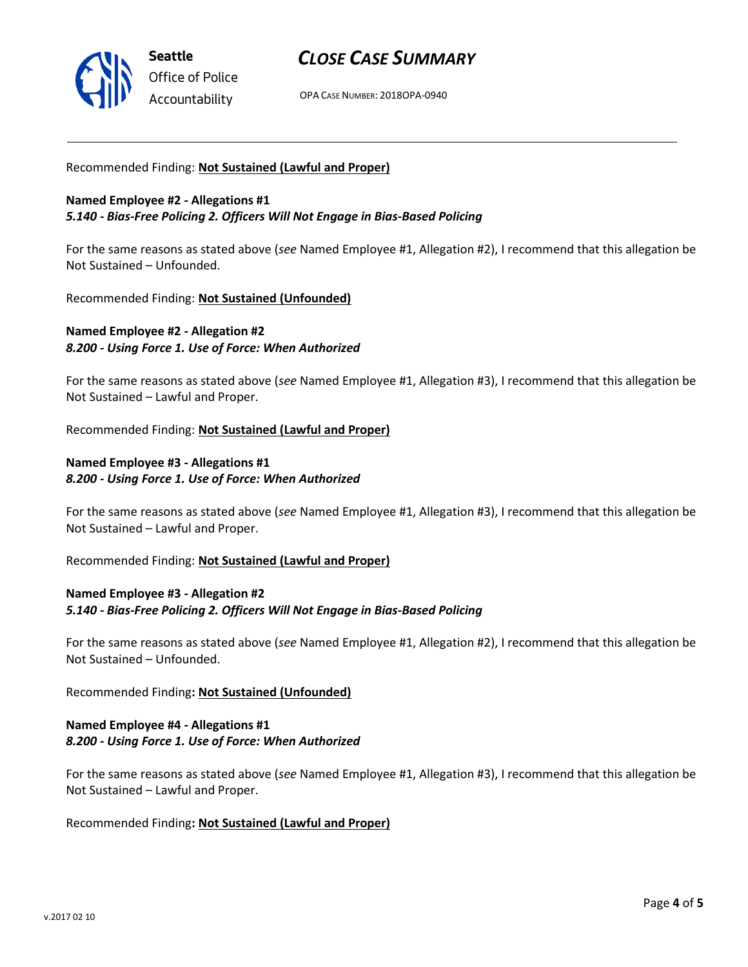

# *CLOSE CASE SUMMARY*

OPA CASE NUMBER: 2018OPA-0940

## Recommended Finding: **Not Sustained (Lawful and Proper)**

## **Named Employee #2 - Allegations #1** *5.140 - Bias-Free Policing 2. Officers Will Not Engage in Bias-Based Policing*

For the same reasons as stated above (*see* Named Employee #1, Allegation #2), I recommend that this allegation be Not Sustained – Unfounded.

Recommended Finding: **Not Sustained (Unfounded)**

# **Named Employee #2 - Allegation #2** *8.200 - Using Force 1. Use of Force: When Authorized*

For the same reasons as stated above (*see* Named Employee #1, Allegation #3), I recommend that this allegation be Not Sustained – Lawful and Proper.

Recommended Finding: **Not Sustained (Lawful and Proper)**

# **Named Employee #3 - Allegations #1** *8.200 - Using Force 1. Use of Force: When Authorized*

For the same reasons as stated above (*see* Named Employee #1, Allegation #3), I recommend that this allegation be Not Sustained – Lawful and Proper.

Recommended Finding: **Not Sustained (Lawful and Proper)**

# **Named Employee #3 - Allegation #2** *5.140 - Bias-Free Policing 2. Officers Will Not Engage in Bias-Based Policing*

For the same reasons as stated above (*see* Named Employee #1, Allegation #2), I recommend that this allegation be Not Sustained – Unfounded.

Recommended Finding**: Not Sustained (Unfounded)**

# **Named Employee #4 - Allegations #1** *8.200 - Using Force 1. Use of Force: When Authorized*

For the same reasons as stated above (*see* Named Employee #1, Allegation #3), I recommend that this allegation be Not Sustained – Lawful and Proper.

Recommended Finding**: Not Sustained (Lawful and Proper)**